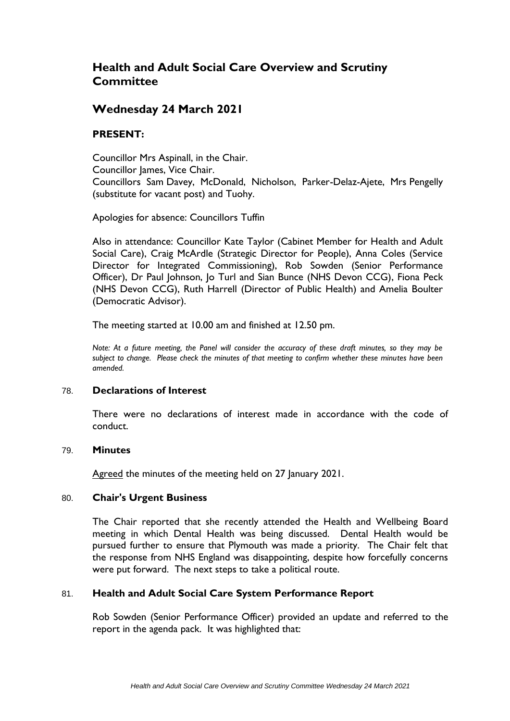# **Health and Adult Social Care Overview and Scrutiny Committee**

## **Wednesday 24 March 2021**

## **PRESENT:**

Councillor Mrs Aspinall, in the Chair. Councillor James, Vice Chair. Councillors Sam Davey, McDonald, Nicholson, Parker-Delaz-Ajete, Mrs Pengelly (substitute for vacant post) and Tuohy.

Apologies for absence: Councillors Tuffin

Also in attendance: Councillor Kate Taylor (Cabinet Member for Health and Adult Social Care), Craig McArdle (Strategic Director for People), Anna Coles (Service Director for Integrated Commissioning), Rob Sowden (Senior Performance Officer), Dr Paul Johnson, Jo Turl and Sian Bunce (NHS Devon CCG), Fiona Peck (NHS Devon CCG), Ruth Harrell (Director of Public Health) and Amelia Boulter (Democratic Advisor).

The meeting started at 10.00 am and finished at 12.50 pm.

*Note: At a future meeting, the Panel will consider the accuracy of these draft minutes, so they may be subject to change. Please check the minutes of that meeting to confirm whether these minutes have been amended.*

#### 78. **Declarations of Interest**

There were no declarations of interest made in accordance with the code of conduct.

#### 79. **Minutes**

Agreed the minutes of the meeting held on 27 January 2021.

#### 80. **Chair's Urgent Business**

The Chair reported that she recently attended the Health and Wellbeing Board meeting in which Dental Health was being discussed. Dental Health would be pursued further to ensure that Plymouth was made a priority. The Chair felt that the response from NHS England was disappointing, despite how forcefully concerns were put forward. The next steps to take a political route.

## 81. **Health and Adult Social Care System Performance Report**

Rob Sowden (Senior Performance Officer) provided an update and referred to the report in the agenda pack. It was highlighted that: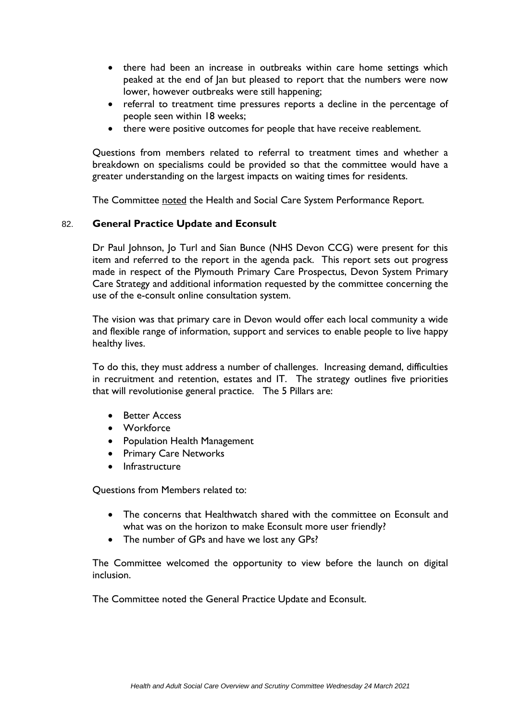- there had been an increase in outbreaks within care home settings which peaked at the end of Jan but pleased to report that the numbers were now lower, however outbreaks were still happening;
- referral to treatment time pressures reports a decline in the percentage of people seen within 18 weeks;
- there were positive outcomes for people that have receive reablement.

Questions from members related to referral to treatment times and whether a breakdown on specialisms could be provided so that the committee would have a greater understanding on the largest impacts on waiting times for residents.

The Committee noted the Health and Social Care System Performance Report.

## 82. **General Practice Update and Econsult**

Dr Paul Johnson, Jo Turl and Sian Bunce (NHS Devon CCG) were present for this item and referred to the report in the agenda pack. This report sets out progress made in respect of the Plymouth Primary Care Prospectus, Devon System Primary Care Strategy and additional information requested by the committee concerning the use of the e-consult online consultation system.

The vision was that primary care in Devon would offer each local community a wide and flexible range of information, support and services to enable people to live happy healthy lives.

To do this, they must address a number of challenges. Increasing demand, difficulties in recruitment and retention, estates and IT. The strategy outlines five priorities that will revolutionise general practice. The 5 Pillars are:

- Better Access
- Workforce
- Population Health Management
- Primary Care Networks
- Infrastructure

Questions from Members related to:

- The concerns that Healthwatch shared with the committee on Econsult and what was on the horizon to make Econsult more user friendly?
- The number of GPs and have we lost any GPs?

The Committee welcomed the opportunity to view before the launch on digital inclusion.

The Committee noted the General Practice Update and Econsult.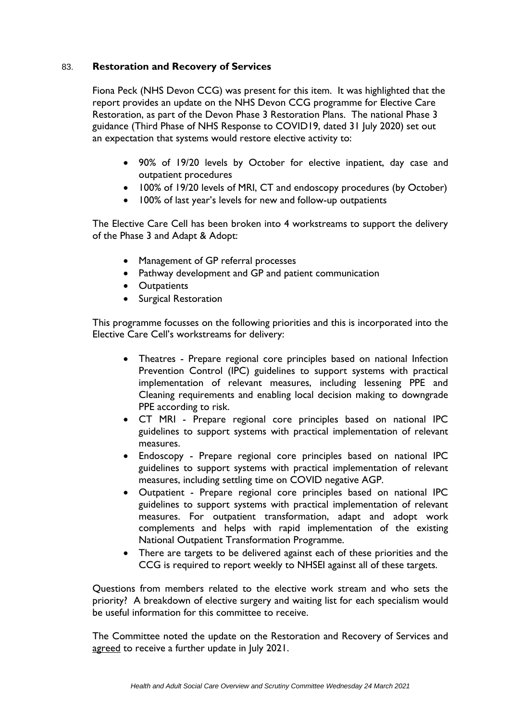## 83. **Restoration and Recovery of Services**

Fiona Peck (NHS Devon CCG) was present for this item. It was highlighted that the report provides an update on the NHS Devon CCG programme for Elective Care Restoration, as part of the Devon Phase 3 Restoration Plans. The national Phase 3 guidance (Third Phase of NHS Response to COVID19, dated 31 July 2020) set out an expectation that systems would restore elective activity to:

- 90% of 19/20 levels by October for elective inpatient, day case and outpatient procedures
- 100% of 19/20 levels of MRI, CT and endoscopy procedures (by October)
- 100% of last year's levels for new and follow-up outpatients

The Elective Care Cell has been broken into 4 workstreams to support the delivery of the Phase 3 and Adapt & Adopt:

- Management of GP referral processes
- Pathway development and GP and patient communication
- Outpatients
- Surgical Restoration

This programme focusses on the following priorities and this is incorporated into the Elective Care Cell's workstreams for delivery:

- Theatres Prepare regional core principles based on national Infection Prevention Control (IPC) guidelines to support systems with practical implementation of relevant measures, including lessening PPE and Cleaning requirements and enabling local decision making to downgrade PPE according to risk.
- CT MRI Prepare regional core principles based on national IPC guidelines to support systems with practical implementation of relevant measures.
- Endoscopy Prepare regional core principles based on national IPC guidelines to support systems with practical implementation of relevant measures, including settling time on COVID negative AGP.
- Outpatient Prepare regional core principles based on national IPC guidelines to support systems with practical implementation of relevant measures. For outpatient transformation, adapt and adopt work complements and helps with rapid implementation of the existing National Outpatient Transformation Programme.
- There are targets to be delivered against each of these priorities and the CCG is required to report weekly to NHSEI against all of these targets.

Questions from members related to the elective work stream and who sets the priority? A breakdown of elective surgery and waiting list for each specialism would be useful information for this committee to receive.

The Committee noted the update on the Restoration and Recovery of Services and agreed to receive a further update in July 2021.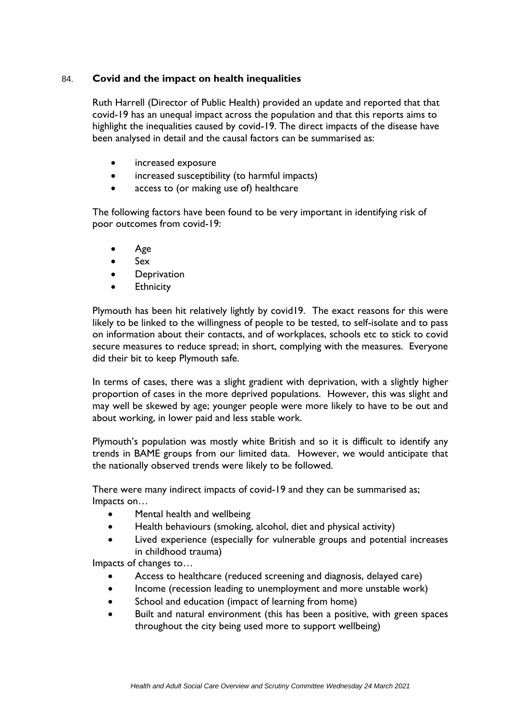## 84. **Covid and the impact on health inequalities**

Ruth Harrell (Director of Public Health) provided an update and reported that that covid-19 has an unequal impact across the population and that this reports aims to highlight the inequalities caused by covid-19. The direct impacts of the disease have been analysed in detail and the causal factors can be summarised as:

- **•** increased exposure
- increased susceptibility (to harmful impacts)
- access to (or making use of) healthcare

The following factors have been found to be very important in identifying risk of poor outcomes from covid-19:

- Age
- $s = Sex$
- **•** Deprivation
- **Ethnicity**

Plymouth has been hit relatively lightly by covid19. The exact reasons for this were likely to be linked to the willingness of people to be tested, to self-isolate and to pass on information about their contacts, and of workplaces, schools etc to stick to covid secure measures to reduce spread; in short, complying with the measures. Everyone did their bit to keep Plymouth safe.

In terms of cases, there was a slight gradient with deprivation, with a slightly higher proportion of cases in the more deprived populations. However, this was slight and may well be skewed by age; younger people were more likely to have to be out and about working, in lower paid and less stable work.

Plymouth's population was mostly white British and so it is difficult to identify any trends in BAME groups from our limited data. However, we would anticipate that the nationally observed trends were likely to be followed.

There were many indirect impacts of covid-19 and they can be summarised as; Impacts on…

- Mental health and wellbeing
- Health behaviours (smoking, alcohol, diet and physical activity)
- Lived experience (especially for vulnerable groups and potential increases in childhood trauma)

Impacts of changes to…

- Access to healthcare (reduced screening and diagnosis, delayed care)
- Income (recession leading to unemployment and more unstable work)
- School and education (impact of learning from home)
- Built and natural environment (this has been a positive, with green spaces throughout the city being used more to support wellbeing)